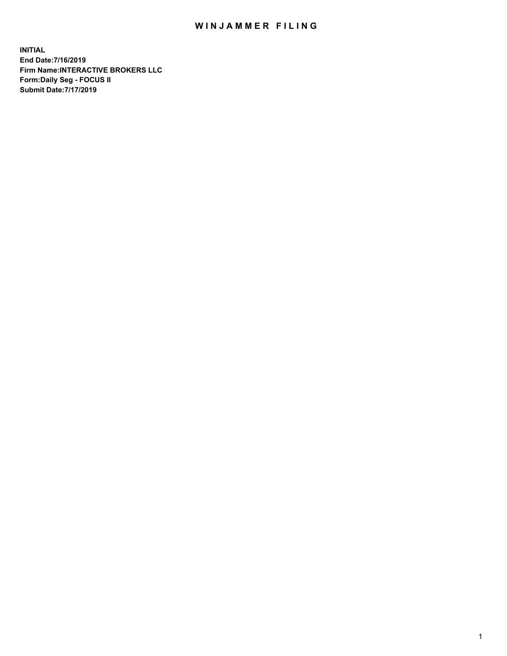## WIN JAMMER FILING

**INITIAL End Date:7/16/2019 Firm Name:INTERACTIVE BROKERS LLC Form:Daily Seg - FOCUS II Submit Date:7/17/2019**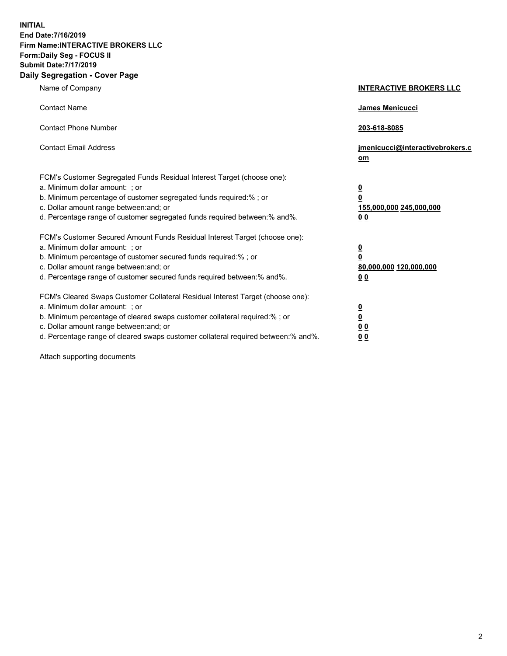**INITIAL End Date:7/16/2019 Firm Name:INTERACTIVE BROKERS LLC Form:Daily Seg - FOCUS II Submit Date:7/17/2019 Daily Segregation - Cover Page**

| Name of Company                                                                                                                                                                                                                                                                                                                | <b>INTERACTIVE BROKERS LLC</b>                                                                  |
|--------------------------------------------------------------------------------------------------------------------------------------------------------------------------------------------------------------------------------------------------------------------------------------------------------------------------------|-------------------------------------------------------------------------------------------------|
| <b>Contact Name</b>                                                                                                                                                                                                                                                                                                            | James Menicucci                                                                                 |
| <b>Contact Phone Number</b>                                                                                                                                                                                                                                                                                                    | 203-618-8085                                                                                    |
| <b>Contact Email Address</b>                                                                                                                                                                                                                                                                                                   | jmenicucci@interactivebrokers.c<br>om                                                           |
| FCM's Customer Segregated Funds Residual Interest Target (choose one):<br>a. Minimum dollar amount: ; or<br>b. Minimum percentage of customer segregated funds required:% ; or<br>c. Dollar amount range between: and; or<br>d. Percentage range of customer segregated funds required between:% and%.                         | $\overline{\mathbf{0}}$<br>$\overline{\mathbf{0}}$<br>155,000,000 245,000,000<br>0 <sub>0</sub> |
| FCM's Customer Secured Amount Funds Residual Interest Target (choose one):<br>a. Minimum dollar amount: ; or<br>b. Minimum percentage of customer secured funds required:%; or<br>c. Dollar amount range between: and; or<br>d. Percentage range of customer secured funds required between:% and%.                            | $\overline{\mathbf{0}}$<br>$\overline{\mathbf{0}}$<br>80,000,000 120,000,000<br>00              |
| FCM's Cleared Swaps Customer Collateral Residual Interest Target (choose one):<br>a. Minimum dollar amount: ; or<br>b. Minimum percentage of cleared swaps customer collateral required:% ; or<br>c. Dollar amount range between: and; or<br>d. Percentage range of cleared swaps customer collateral required between:% and%. | $\overline{\mathbf{0}}$<br>$\underline{\mathbf{0}}$<br>0 <sub>0</sub><br>0 <sub>0</sub>         |

Attach supporting documents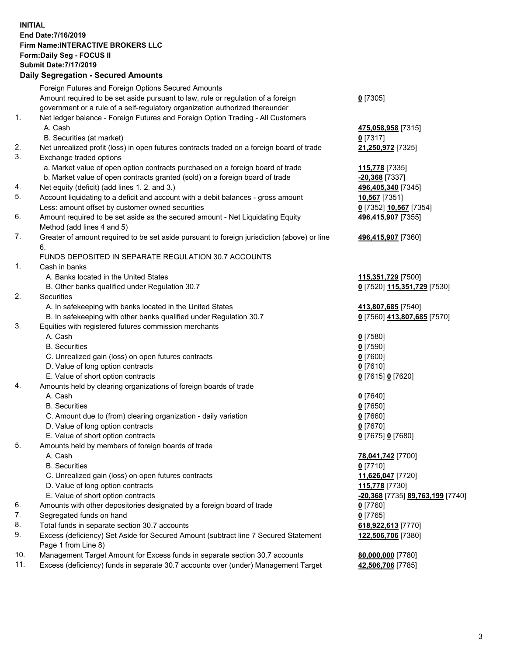## **INITIAL End Date:7/16/2019 Firm Name:INTERACTIVE BROKERS LLC Form:Daily Seg - FOCUS II Submit Date:7/17/2019**

|     | <b>Daily Segregation - Secured Amounts</b>                                                  |                                  |
|-----|---------------------------------------------------------------------------------------------|----------------------------------|
|     | Foreign Futures and Foreign Options Secured Amounts                                         |                                  |
|     | Amount required to be set aside pursuant to law, rule or regulation of a foreign            | $0$ [7305]                       |
|     | government or a rule of a self-regulatory organization authorized thereunder                |                                  |
| 1.  | Net ledger balance - Foreign Futures and Foreign Option Trading - All Customers             |                                  |
|     | A. Cash                                                                                     | 475,058,958 [7315]               |
|     | B. Securities (at market)                                                                   | $0$ [7317]                       |
| 2.  | Net unrealized profit (loss) in open futures contracts traded on a foreign board of trade   | 21,250,972 [7325]                |
| 3.  | Exchange traded options                                                                     |                                  |
|     | a. Market value of open option contracts purchased on a foreign board of trade              | 115,778 [7335]                   |
|     | b. Market value of open contracts granted (sold) on a foreign board of trade                | -20,368 [7337]                   |
| 4.  | Net equity (deficit) (add lines 1.2. and 3.)                                                | 496,405,340 [7345]               |
| 5.  | Account liquidating to a deficit and account with a debit balances - gross amount           | <b>10,567</b> [7351]             |
|     | Less: amount offset by customer owned securities                                            | 0 [7352] 10,567 [7354]           |
| 6.  | Amount required to be set aside as the secured amount - Net Liquidating Equity              | 496,415,907 [7355]               |
|     | Method (add lines 4 and 5)                                                                  |                                  |
| 7.  | Greater of amount required to be set aside pursuant to foreign jurisdiction (above) or line | 496,415,907 [7360]               |
|     | 6.                                                                                          |                                  |
|     | FUNDS DEPOSITED IN SEPARATE REGULATION 30.7 ACCOUNTS                                        |                                  |
| 1.  | Cash in banks                                                                               |                                  |
|     | A. Banks located in the United States                                                       | 115,351,729 [7500]               |
|     | B. Other banks qualified under Regulation 30.7                                              | 0 [7520] 115,351,729 [7530]      |
| 2.  | Securities                                                                                  |                                  |
|     | A. In safekeeping with banks located in the United States                                   | 413,807,685 [7540]               |
|     | B. In safekeeping with other banks qualified under Regulation 30.7                          | 0 [7560] 413,807,685 [7570]      |
| 3.  | Equities with registered futures commission merchants                                       |                                  |
|     | A. Cash                                                                                     | $0$ [7580]                       |
|     | <b>B.</b> Securities                                                                        | $0$ [7590]                       |
|     | C. Unrealized gain (loss) on open futures contracts                                         | $0$ [7600]                       |
|     | D. Value of long option contracts                                                           | $0$ [7610]                       |
|     | E. Value of short option contracts                                                          | 0 [7615] 0 [7620]                |
| 4.  | Amounts held by clearing organizations of foreign boards of trade                           |                                  |
|     | A. Cash                                                                                     | $0$ [7640]                       |
|     | <b>B.</b> Securities                                                                        | $0$ [7650]                       |
|     | C. Amount due to (from) clearing organization - daily variation                             | $0$ [7660]                       |
|     | D. Value of long option contracts                                                           | $0$ [7670]                       |
|     | E. Value of short option contracts                                                          | 0 [7675] 0 [7680]                |
| 5.  | Amounts held by members of foreign boards of trade                                          |                                  |
|     | A. Cash                                                                                     | 78,041,742 [7700]                |
|     | <b>B.</b> Securities                                                                        | $0$ [7710]                       |
|     | C. Unrealized gain (loss) on open futures contracts                                         | 11,626,047 [7720]                |
|     | D. Value of long option contracts                                                           | 115,778 [7730]                   |
|     | E. Value of short option contracts                                                          | -20,368 [7735] 89,763,199 [7740] |
| 6.  | Amounts with other depositories designated by a foreign board of trade                      | $0$ [7760]                       |
| 7.  | Segregated funds on hand                                                                    | $0$ [7765]                       |
| 8.  | Total funds in separate section 30.7 accounts                                               | 618,922,613 [7770]               |
| 9.  | Excess (deficiency) Set Aside for Secured Amount (subtract line 7 Secured Statement         | 122,506,706 [7380]               |
|     | Page 1 from Line 8)                                                                         |                                  |
| 10. | Management Target Amount for Excess funds in separate section 30.7 accounts                 | 80,000,000 [7780]                |
| 11. | Excess (deficiency) funds in separate 30.7 accounts over (under) Management Target          | 42,506,706 [7785]                |
|     |                                                                                             |                                  |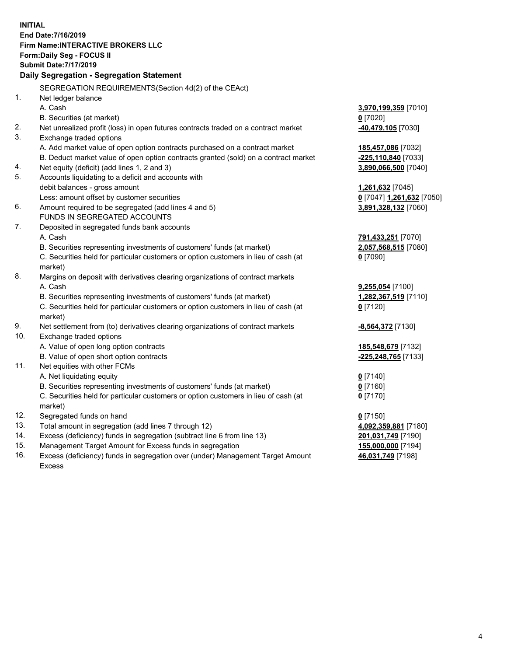**INITIAL End Date:7/16/2019 Firm Name:INTERACTIVE BROKERS LLC Form:Daily Seg - FOCUS II Submit Date:7/17/2019 Daily Segregation - Segregation Statement** SEGREGATION REQUIREMENTS(Section 4d(2) of the CEAct) 1. Net ledger balance A. Cash **3,970,199,359** [7010] B. Securities (at market) **0** [7020] 2. Net unrealized profit (loss) in open futures contracts traded on a contract market **-40,479,105** [7030] 3. Exchange traded options A. Add market value of open option contracts purchased on a contract market **185,457,086** [7032] B. Deduct market value of open option contracts granted (sold) on a contract market **-225,110,840** [7033] 4. Net equity (deficit) (add lines 1, 2 and 3) **3,890,066,500** [7040] 5. Accounts liquidating to a deficit and accounts with debit balances - gross amount **1,261,632** [7045] Less: amount offset by customer securities **0** [7047] **1,261,632** [7050] 6. Amount required to be segregated (add lines 4 and 5) **3,891,328,132** [7060] FUNDS IN SEGREGATED ACCOUNTS 7. Deposited in segregated funds bank accounts A. Cash **791,433,251** [7070] B. Securities representing investments of customers' funds (at market) **2,057,568,515** [7080] C. Securities held for particular customers or option customers in lieu of cash (at market) **0** [7090] 8. Margins on deposit with derivatives clearing organizations of contract markets A. Cash **9,255,054** [7100] B. Securities representing investments of customers' funds (at market) **1,282,367,519** [7110] C. Securities held for particular customers or option customers in lieu of cash (at market) **0** [7120] 9. Net settlement from (to) derivatives clearing organizations of contract markets **-8,564,372** [7130] 10. Exchange traded options A. Value of open long option contracts **185,548,679** [7132] B. Value of open short option contracts **-225,248,765** [7133] 11. Net equities with other FCMs A. Net liquidating equity **0** [7140] B. Securities representing investments of customers' funds (at market) **0** [7160] C. Securities held for particular customers or option customers in lieu of cash (at market) **0** [7170] 12. Segregated funds on hand **0** [7150] 13. Total amount in segregation (add lines 7 through 12) **4,092,359,881** [7180] 14. Excess (deficiency) funds in segregation (subtract line 6 from line 13) **201,031,749** [7190] 15. Management Target Amount for Excess funds in segregation **155,000,000** [7194] **46,031,749** [7198]

16. Excess (deficiency) funds in segregation over (under) Management Target Amount Excess